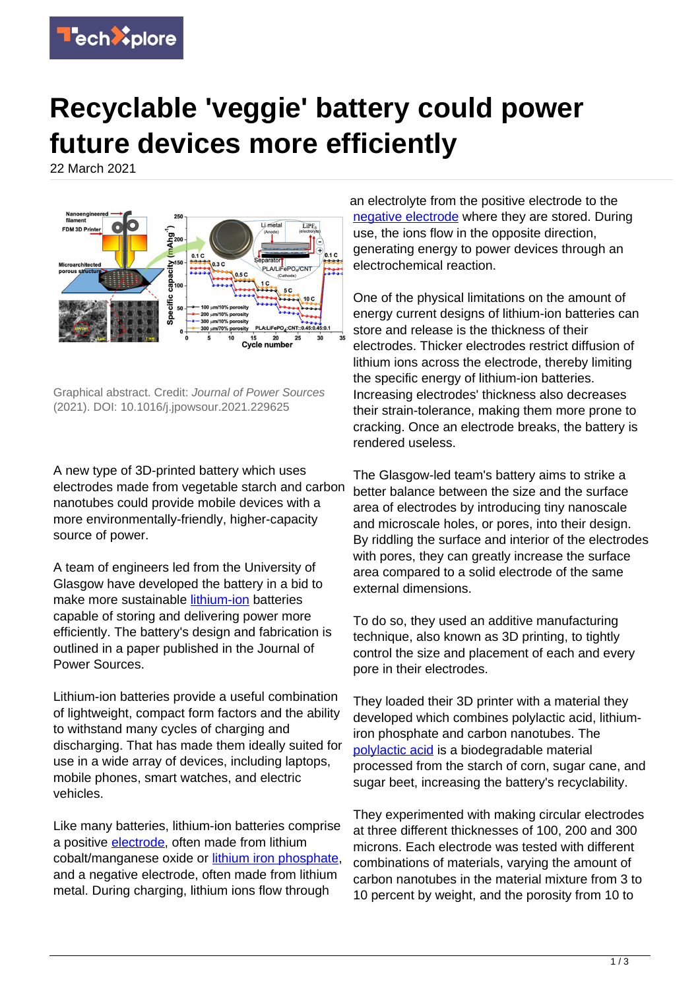

## **Recyclable 'veggie' battery could power future devices more efficiently**

22 March 2021



Graphical abstract. Credit: Journal of Power Sources (2021). DOI: 10.1016/j.jpowsour.2021.229625

A new type of 3D-printed battery which uses electrodes made from vegetable starch and carbon nanotubes could provide mobile devices with a more environmentally-friendly, higher-capacity source of power.

A team of engineers led from the University of Glasgow have developed the battery in a bid to make more sustainable lithium-jon batteries capable of storing and delivering power more efficiently. The battery's design and fabrication is outlined in a paper published in the Journal of Power Sources.

Lithium-ion batteries provide a useful combination of lightweight, compact form factors and the ability to withstand many cycles of charging and discharging. That has made them ideally suited for use in a wide array of devices, including laptops, mobile phones, smart watches, and electric vehicles.

Like many batteries, lithium-ion batteries comprise a positive [electrode](https://techxplore.com/tags/electrode/), often made from lithium cobalt/manganese oxide or [lithium iron phosphate](https://techxplore.com/tags/lithium+iron+phosphate/), and a negative electrode, often made from lithium metal. During charging, lithium ions flow through

an electrolyte from the positive electrode to the [negative electrode](https://techxplore.com/tags/negative+electrode/) where they are stored. During use, the ions flow in the opposite direction, generating energy to power devices through an electrochemical reaction.

One of the physical limitations on the amount of energy current designs of lithium-ion batteries can store and release is the thickness of their electrodes. Thicker electrodes restrict diffusion of lithium ions across the electrode, thereby limiting the specific energy of lithium-ion batteries. Increasing electrodes' thickness also decreases their strain-tolerance, making them more prone to cracking. Once an electrode breaks, the battery is rendered useless.

The Glasgow-led team's battery aims to strike a better balance between the size and the surface area of electrodes by introducing tiny nanoscale and microscale holes, or pores, into their design. By riddling the surface and interior of the electrodes with pores, they can greatly increase the surface area compared to a solid electrode of the same external dimensions.

To do so, they used an additive manufacturing technique, also known as 3D printing, to tightly control the size and placement of each and every pore in their electrodes.

They loaded their 3D printer with a material they developed which combines polylactic acid, lithiumiron phosphate and carbon nanotubes. The [polylactic acid](https://techxplore.com/tags/polylactic+acid/) is a biodegradable material processed from the starch of corn, sugar cane, and sugar beet, increasing the battery's recyclability.

They experimented with making circular electrodes at three different thicknesses of 100, 200 and 300 microns. Each electrode was tested with different combinations of materials, varying the amount of carbon nanotubes in the material mixture from 3 to 10 percent by weight, and the porosity from 10 to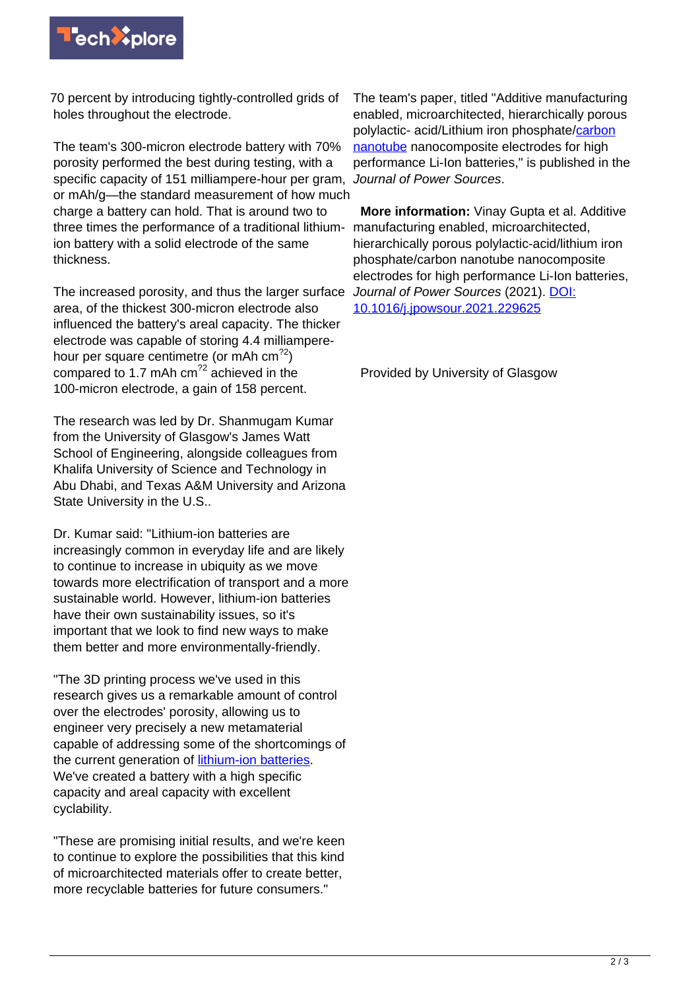

70 percent by introducing tightly-controlled grids of holes throughout the electrode.

The team's 300-micron electrode battery with 70% porosity performed the best during testing, with a specific capacity of 151 milliampere-hour per gram, or mAh/g—the standard measurement of how much charge a battery can hold. That is around two to three times the performance of a traditional lithiumion battery with a solid electrode of the same thickness.

The increased porosity, and thus the larger surface area, of the thickest 300-micron electrode also influenced the battery's areal capacity. The thicker electrode was capable of storing 4.4 milliamperehour per square centimetre (or mAh cm<sup>22</sup>) compared to 1.7 mAh cm<sup>22</sup> achieved in the 100-micron electrode, a gain of 158 percent.

The research was led by Dr. Shanmugam Kumar from the University of Glasgow's James Watt School of Engineering, alongside colleagues from Khalifa University of Science and Technology in Abu Dhabi, and Texas A&M University and Arizona State University in the U.S..

Dr. Kumar said: "Lithium-ion batteries are increasingly common in everyday life and are likely to continue to increase in ubiquity as we move towards more electrification of transport and a more sustainable world. However, lithium-ion batteries have their own sustainability issues, so it's important that we look to find new ways to make them better and more environmentally-friendly.

"The 3D printing process we've used in this research gives us a remarkable amount of control over the electrodes' porosity, allowing us to engineer very precisely a new metamaterial capable of addressing some of the shortcomings of the current generation of [lithium-ion batteries.](https://techxplore.com/tags/lithium-ion+batteries/) We've created a battery with a high specific capacity and areal capacity with excellent cyclability.

"These are promising initial results, and we're keen to continue to explore the possibilities that this kind of microarchitected materials offer to create better, more recyclable batteries for future consumers."

The team's paper, titled "Additive manufacturing enabled, microarchitected, hierarchically porous polylactic- acid/Lithium iron phosphate/[carbon](https://techxplore.com/tags/carbon+nanotube/) [nanotube](https://techxplore.com/tags/carbon+nanotube/) nanocomposite electrodes for high performance Li-Ion batteries," is published in the Journal of Power Sources.

 **More information:** Vinay Gupta et al. Additive manufacturing enabled, microarchitected, hierarchically porous polylactic-acid/lithium iron phosphate/carbon nanotube nanocomposite electrodes for high performance Li-Ion batteries, Journal of Power Sources (2021). [DOI:](http://dx.doi.org/10.1016/j.jpowsour.2021.229625) [10.1016/j.jpowsour.2021.229625](http://dx.doi.org/10.1016/j.jpowsour.2021.229625)

Provided by University of Glasgow